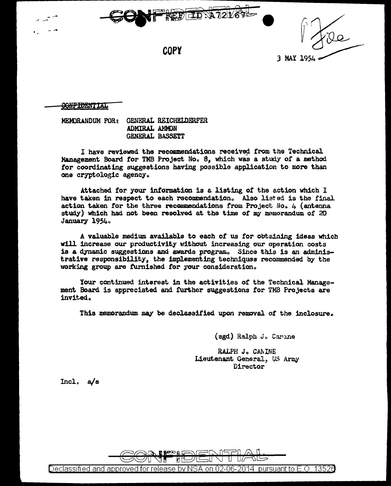

3 MAY 1954

**COPY** 

#### **GONPIDENTIAL**

MEMORANDUM FOR: GENERAL REICHELDERFER ADMIRAL AMMON GENERAL BASSETT

I have reviewed the recommendations received from the Technical Management Board for TMB Project No. 8, which was a study of a method for coordinating suggestions having possible application to more than one cryptologic agency.

Attached for your information is a listing of the action which I have taken in respect to each recommendation. Also listed is the final action taken for the three recommendations from Project No. 4 (antenna study) which had not been resolved at the time of my memorandum of 20 January 1954.

A valuable medium available to each of us for obtaining ideas which will increase our productivity without increasing our operation costs is a dynamic suggestions and awards program. Since this is an administrative responsibility, the implementing techniques recommended by the working group are furnished for your consideration.

Your continued interest in the activities of the Technical Management Board is appreciated and further suggestions for TMB Projects are invited.

This memorandum may be declassified upon removal of the inclosure.

(sgd) Ralph J. Carine

RALPH J. CANINE Lieutenant General, US Army Director

 $Incl. a/s$ 



Declassified and approved for release by NSA on 02-06-2014 pursuant to E.O. 13526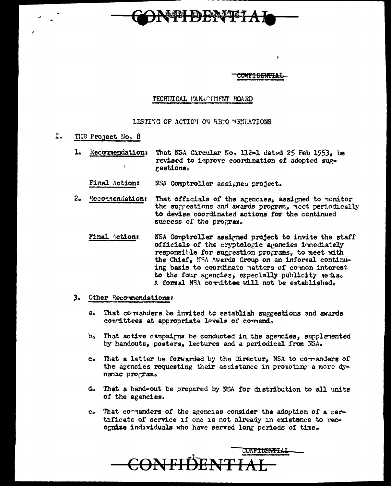

<del>onfi dential</del>

ە

## TECHNICAL PAN.CENTENT BOARD

LISTING OF ACTION ON RECO MENDATIONS

- $I<sub>r</sub>$ THE Project No. 8
	- ı. Recommendations That NSA Circular No. 112-1 dated 25 Feb 1953, be revised to improve coordination of adopted sur- $\overline{1}$ gestions.

Final Action: NSA Comptroller assigned project.

- 2. Recornendation: That officials of the agencies, assigned to monitor the surrestions and awards program, neet periodically to devise coordinated actions for the continued success of the program.
	- Final Action: NSA Comptroller assigned project to invite the staff officials of the cryptologic agencies immediately responsible for suggestion programs, to meet with the Chief, NSA Awards Group on an informal continuing basis to coordinate natters of cornon interest to the four agencies, especially publicity nechao A formal NSA cornittee will not be established.

### 3. Other Recommendations:

- That commanders be invited to establish suggestions and awards a. committees at appropriate levels of comand.
- That active campairns be conducted in the agencies, supplemented  $b_{\alpha}$ by handouts, posters, lectures and a periodical from NSA.
- That a letter be forwarded by the Director, NSA to corranders of  $\mathbf{C}$  o  $\mathbf{C}$ the agencies requesting their assistance in pronoting a more dynanic program.
- d. That a hand-out be prepared by NSA for distribution to all units of the agencies.
- e. That comanders of the agencies consider the adoption of a certificate of service if one is not already in existence to recognize individuals who have served long periods of time.

CONFIDENTIAL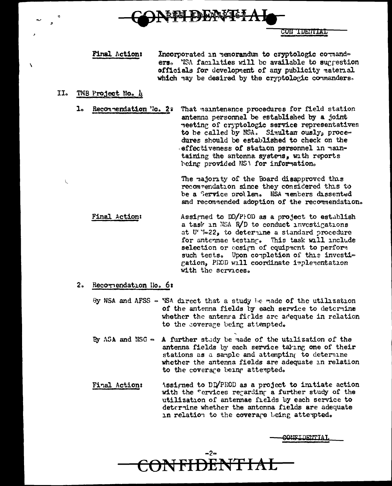

CON TUENTAL

Final Action: Incorporated in memorandum to cryptologic cormand= ers. Wish facilities will be available to suggestion officials for development of any publicity material which hay be desired by the cryptologic commanders.

- $II<sub>o</sub>$ TNB Project No. 4
	- Reconnendation 'lo. 22 That maintenance procedures for field station  $\mathbf{1}_{\bullet}$ antenna personnel be established by a joint neeting of cryptologic service representatives to be called by NSA. Simultan ously, procedures should be established to check on the effectiveness of station personnel in maintaining the antonna systems, with reports being provided NSA for information.

The majority of the Board disapproved this recommendation since they considered this to be a Service prollem. NSA members dissented and recommended adoption of the recommendation.

Final Action: Assigned to DD/PFOD as a project to establish a task in NSA R/D to conduct investigations at U''-22, to determine a standard procedure for antennae testing. This task will include selection or eesign of equipment to perform such tests. Upon completion of this investigation, PROD will coordinate implementation with the services.

### 2. Recornendation No. 6:

By NSA and AFSS - NSA direct that a study be made of the utilization of the antenna fields by each service to determine whether the antenra fields are adequate in relation to the coverage being attempted.

- By ASA and NSG A further study be made of the utilization of the antenna fields by each service taking one of their stations as a sample and attempting to determine whether the antenna fields are adequate in relation to the coverare being attempted.
- Assigned to DD/PROD as a project to initiate action Final Action: with the cervices regarding a further study of the utilization of antennae fields by each service to deternine whether the antenna fields are adequate in relation to the coverage being attempted.

**CONFIDENTIAL**